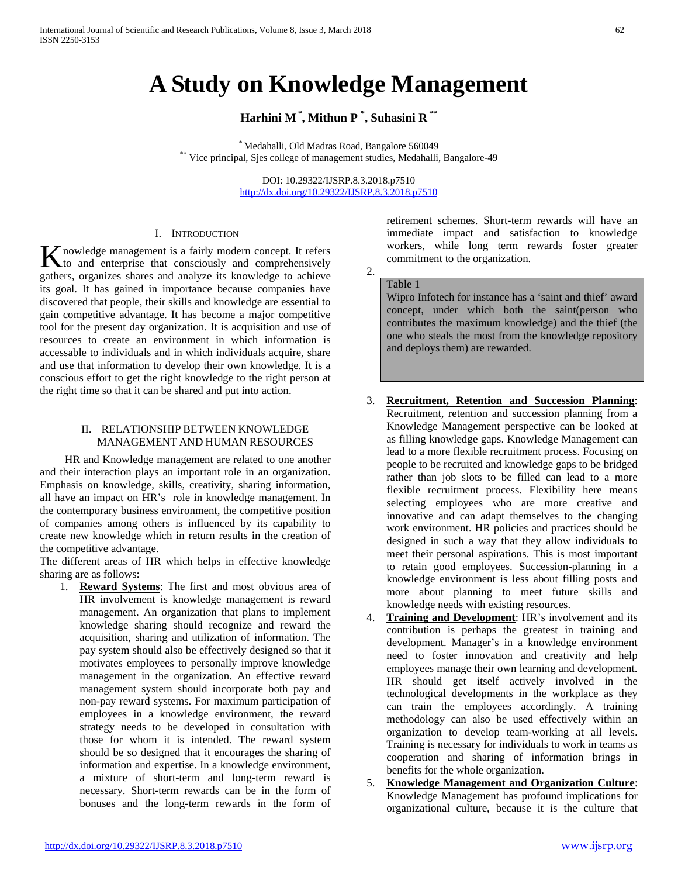# **A Study on Knowledge Management**

# **Harhini M \* , Mithun P \* , Suhasini R \*\***

\* Medahalli, Old Madras Road, Bangalore 560049<br>\*\* Vice principal, Sjes college of management studies, Medahalli, Bangalore-49

DOI: 10.29322/IJSRP.8.3.2018.p7510 <http://dx.doi.org/10.29322/IJSRP.8.3.2018.p7510>

#### I. INTRODUCTION

nowledge management is a fairly modern concept. It refers K nowledge management is a fairly modern concept. It refers to and enterprise that consciously and comprehensively gathers, organizes shares and analyze its knowledge to achieve its goal. It has gained in importance because companies have discovered that people, their skills and knowledge are essential to gain competitive advantage. It has become a major competitive tool for the present day organization. It is acquisition and use of resources to create an environment in which information is accessable to individuals and in which individuals acquire, share and use that information to develop their own knowledge. It is a conscious effort to get the right knowledge to the right person at the right time so that it can be shared and put into action.

#### II. RELATIONSHIP BETWEEN KNOWLEDGE MANAGEMENT AND HUMAN RESOURCES

 HR and Knowledge management are related to one another and their interaction plays an important role in an organization. Emphasis on knowledge, skills, creativity, sharing information, all have an impact on HR's role in knowledge management. In the contemporary business environment, the competitive position of companies among others is influenced by its capability to create new knowledge which in return results in the creation of the competitive advantage.

The different areas of HR which helps in effective knowledge sharing are as follows:

1. **Reward Systems**: The first and most obvious area of HR involvement is knowledge management is reward management. An organization that plans to implement knowledge sharing should recognize and reward the acquisition, sharing and utilization of information. The pay system should also be effectively designed so that it motivates employees to personally improve knowledge management in the organization. An effective reward management system should incorporate both pay and non-pay reward systems. For maximum participation of employees in a knowledge environment, the reward strategy needs to be developed in consultation with those for whom it is intended. The reward system should be so designed that it encourages the sharing of information and expertise. In a knowledge environment, a mixture of short-term and long-term reward is necessary. Short-term rewards can be in the form of bonuses and the long-term rewards in the form of retirement schemes. Short-term rewards will have an immediate impact and satisfaction to knowledge workers, while long term rewards foster greater commitment to the organization.

#### Table 1

2.

Wipro Infotech for instance has a 'saint and thief' award concept, under which both the saint(person who contributes the maximum knowledge) and the thief (the one who steals the most from the knowledge repository and deploys them) are rewarded.

- 3. **Recruitment, Retention and Succession Planning**: Recruitment, retention and succession planning from a Knowledge Management perspective can be looked at as filling knowledge gaps. Knowledge Management can lead to a more flexible recruitment process. Focusing on people to be recruited and knowledge gaps to be bridged rather than job slots to be filled can lead to a more flexible recruitment process. Flexibility here means selecting employees who are more creative and innovative and can adapt themselves to the changing work environment. HR policies and practices should be designed in such a way that they allow individuals to meet their personal aspirations. This is most important to retain good employees. Succession-planning in a knowledge environment is less about filling posts and more about planning to meet future skills and knowledge needs with existing resources.
- 4. **Training and Development**: HR's involvement and its contribution is perhaps the greatest in training and development. Manager's in a knowledge environment need to foster innovation and creativity and help employees manage their own learning and development. HR should get itself actively involved in the technological developments in the workplace as they can train the employees accordingly. A training methodology can also be used effectively within an organization to develop team-working at all levels. Training is necessary for individuals to work in teams as cooperation and sharing of information brings in benefits for the whole organization.
- 5. **Knowledge Management and Organization Culture**: Knowledge Management has profound implications for organizational culture, because it is the culture that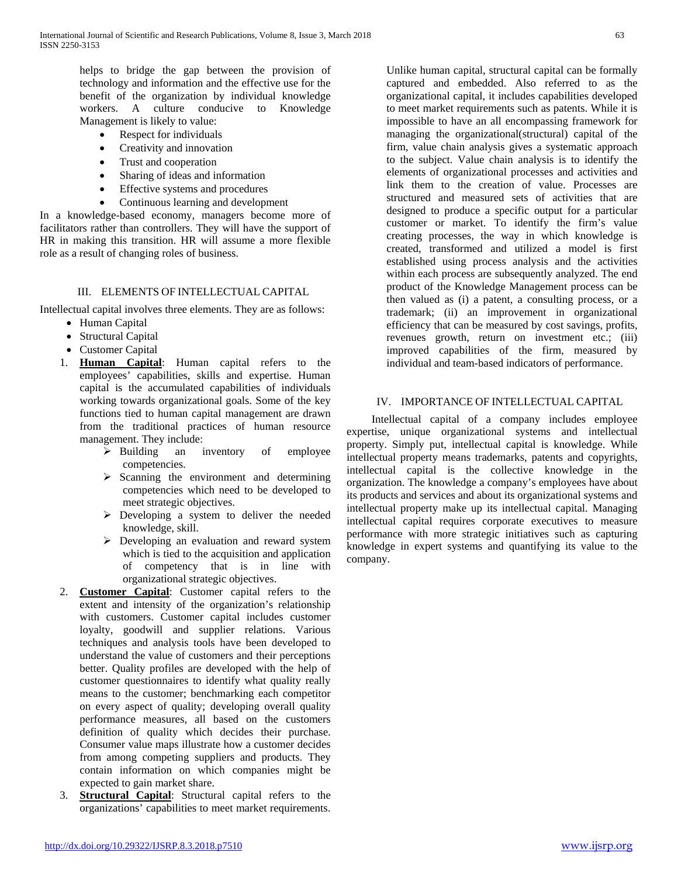helps to bridge the gap between the provision of technology and information and the effective use for the benefit of the organization by individual knowledge workers. A culture conducive to Knowledge Management is likely to value:

- Respect for individuals
- Creativity and innovation
- Trust and cooperation
- Sharing of ideas and information
- Effective systems and procedures
- Continuous learning and development

In a knowledge-based economy, managers become more of facilitators rather than controllers. They will have the support of HR in making this transition. HR will assume a more flexible role as a result of changing roles of business.

## III. ELEMENTS OF INTELLECTUAL CAPITAL

Intellectual capital involves three elements. They are as follows:

- Human Capital
- Structural Capital
- Customer Capital
- 1. **Human Capital**: Human capital refers to the employees' capabilities, skills and expertise. Human capital is the accumulated capabilities of individuals working towards organizational goals. Some of the key functions tied to human capital management are drawn from the traditional practices of human resource management. They include:
	- $\triangleright$  Building an inventory of employee competencies.
	- $\triangleright$  Scanning the environment and determining competencies which need to be developed to meet strategic objectives.
	- Developing a system to deliver the needed knowledge, skill.
	- Developing an evaluation and reward system which is tied to the acquisition and application of competency that is in line with organizational strategic objectives.
- 2. **Customer Capital**: Customer capital refers to the extent and intensity of the organization's relationship with customers. Customer capital includes customer loyalty, goodwill and supplier relations. Various techniques and analysis tools have been developed to understand the value of customers and their perceptions better. Quality profiles are developed with the help of customer questionnaires to identify what quality really means to the customer; benchmarking each competitor on every aspect of quality; developing overall quality performance measures, all based on the customers definition of quality which decides their purchase. Consumer value maps illustrate how a customer decides from among competing suppliers and products. They contain information on which companies might be expected to gain market share.
- 3. **Structural Capital**: Structural capital refers to the organizations' capabilities to meet market requirements.

Unlike human capital, structural capital can be formally captured and embedded. Also referred to as the organizational capital, it includes capabilities developed to meet market requirements such as patents. While it is impossible to have an all encompassing framework for managing the organizational(structural) capital of the firm, value chain analysis gives a systematic approach to the subject. Value chain analysis is to identify the elements of organizational processes and activities and link them to the creation of value. Processes are structured and measured sets of activities that are designed to produce a specific output for a particular customer or market. To identify the firm's value creating processes, the way in which knowledge is created, transformed and utilized a model is first established using process analysis and the activities within each process are subsequently analyzed. The end product of the Knowledge Management process can be then valued as (i) a patent, a consulting process, or a trademark; (ii) an improvement in organizational efficiency that can be measured by cost savings, profits, revenues growth, return on investment etc.; (iii) improved capabilities of the firm, measured by individual and team-based indicators of performance.

## IV. IMPORTANCE OF INTELLECTUAL CAPITAL

 Intellectual capital of a company includes employee expertise, unique organizational systems and intellectual property. Simply put, intellectual capital is knowledge. While intellectual property means trademarks, patents and copyrights, intellectual capital is the collective knowledge in the organization. The knowledge a company's employees have about its products and services and about its organizational systems and intellectual property make up its intellectual capital. Managing intellectual capital requires corporate executives to measure performance with more strategic initiatives such as capturing knowledge in expert systems and quantifying its value to the company.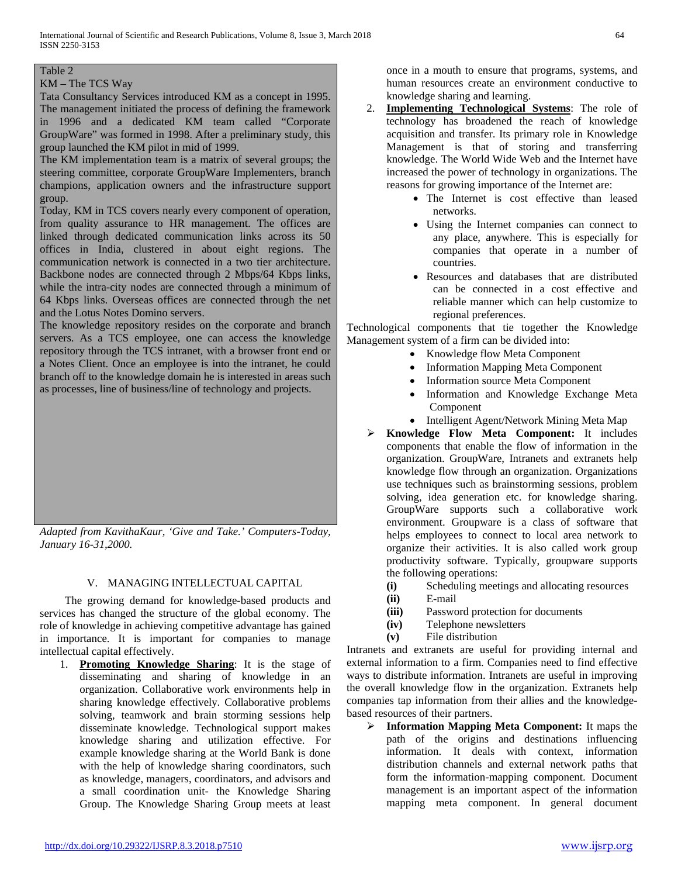# Table 2

#### KM – The TCS Way

Tata Consultancy Services introduced KM as a concept in 1995. The management initiated the process of defining the framework in 1996 and a dedicated KM team called "Corporate GroupWare" was formed in 1998. After a preliminary study, this group launched the KM pilot in mid of 1999.

The KM implementation team is a matrix of several groups; the steering committee, corporate GroupWare Implementers, branch champions, application owners and the infrastructure support group.

Today, KM in TCS covers nearly every component of operation, from quality assurance to HR management. The offices are linked through dedicated communication links across its 50 offices in India, clustered in about eight regions. The communication network is connected in a two tier architecture. Backbone nodes are connected through 2 Mbps/64 Kbps links, while the intra-city nodes are connected through a minimum of 64 Kbps links. Overseas offices are connected through the net and the Lotus Notes Domino servers.

The knowledge repository resides on the corporate and branch servers. As a TCS employee, one can access the knowledge repository through the TCS intranet, with a browser front end or a Notes Client. Once an employee is into the intranet, he could branch off to the knowledge domain he is interested in areas such as processes, line of business/line of technology and projects.

*Adapted from KavithaKaur, 'Give and Take.' Computers-Today, January 16-31,2000.*

#### V. MANAGING INTELLECTUAL CAPITAL

 The growing demand for knowledge-based products and services has changed the structure of the global economy. The role of knowledge in achieving competitive advantage has gained in importance. It is important for companies to manage intellectual capital effectively.

1. **Promoting Knowledge Sharing**: It is the stage of disseminating and sharing of knowledge in an organization. Collaborative work environments help in sharing knowledge effectively. Collaborative problems solving, teamwork and brain storming sessions help disseminate knowledge. Technological support makes knowledge sharing and utilization effective. For example knowledge sharing at the World Bank is done with the help of knowledge sharing coordinators, such as knowledge, managers, coordinators, and advisors and a small coordination unit- the Knowledge Sharing Group. The Knowledge Sharing Group meets at least once in a mouth to ensure that programs, systems, and human resources create an environment conductive to knowledge sharing and learning.

- 2. **Implementing Technological Systems**: The role of technology has broadened the reach of knowledge acquisition and transfer. Its primary role in Knowledge Management is that of storing and transferring knowledge. The World Wide Web and the Internet have increased the power of technology in organizations. The reasons for growing importance of the Internet are:
	- The Internet is cost effective than leased networks.
	- Using the Internet companies can connect to any place, anywhere. This is especially for companies that operate in a number of countries.
	- Resources and databases that are distributed can be connected in a cost effective and reliable manner which can help customize to regional preferences.

Technological components that tie together the Knowledge Management system of a firm can be divided into:

- Knowledge flow Meta Component
- Information Mapping Meta Component
- Information source Meta Component
- Information and Knowledge Exchange Meta Component
- Intelligent Agent/Network Mining Meta Map
- **Knowledge Flow Meta Component:** It includes components that enable the flow of information in the organization. GroupWare, Intranets and extranets help knowledge flow through an organization. Organizations use techniques such as brainstorming sessions, problem solving, idea generation etc. for knowledge sharing. GroupWare supports such a collaborative work environment. Groupware is a class of software that helps employees to connect to local area network to organize their activities. It is also called work group productivity software. Typically, groupware supports the following operations:
	- **(i)** Scheduling meetings and allocating resources
	- **(ii)** E-mail
	- **(iii)** Password protection for documents
	- **(iv)** Telephone newsletters
	- **(v)** File distribution

Intranets and extranets are useful for providing internal and external information to a firm. Companies need to find effective ways to distribute information. Intranets are useful in improving the overall knowledge flow in the organization. Extranets help companies tap information from their allies and the knowledgebased resources of their partners.

 **Information Mapping Meta Component:** It maps the path of the origins and destinations influencing information. It deals with context, information distribution channels and external network paths that form the information-mapping component. Document management is an important aspect of the information mapping meta component. In general document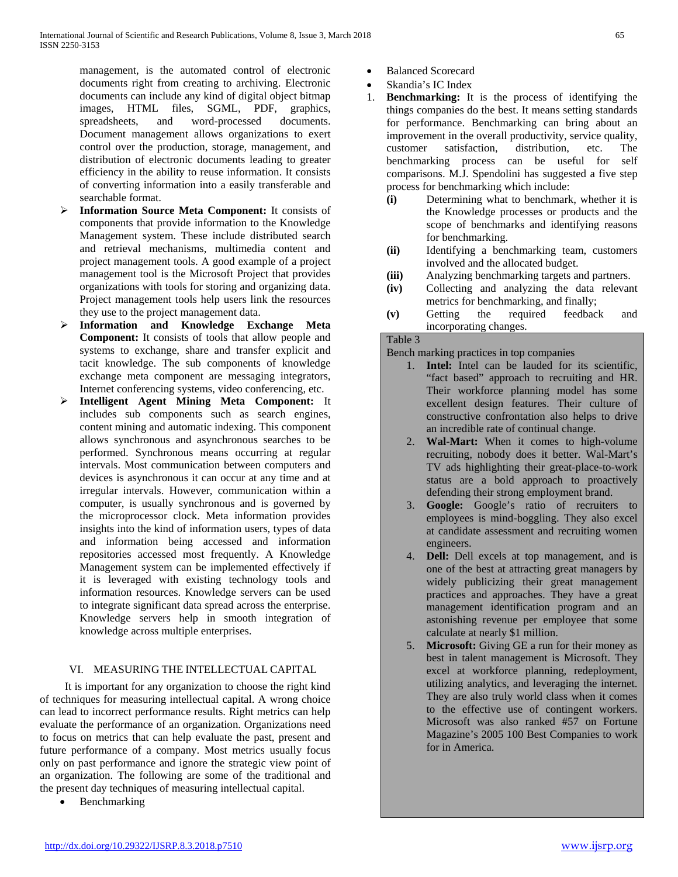management, is the automated control of electronic documents right from creating to archiving. Electronic documents can include any kind of digital object bitmap images, HTML files, SGML, PDF, graphics, spreadsheets. and word-processed documents. spreadsheets, and word-processed Document management allows organizations to exert control over the production, storage, management, and distribution of electronic documents leading to greater efficiency in the ability to reuse information. It consists of converting information into a easily transferable and searchable format.

- **Information Source Meta Component:** It consists of components that provide information to the Knowledge Management system. These include distributed search and retrieval mechanisms, multimedia content and project management tools. A good example of a project management tool is the Microsoft Project that provides organizations with tools for storing and organizing data. Project management tools help users link the resources they use to the project management data.
- **Information and Knowledge Exchange Meta Component:** It consists of tools that allow people and systems to exchange, share and transfer explicit and tacit knowledge. The sub components of knowledge exchange meta component are messaging integrators, Internet conferencing systems, video conferencing, etc.
- **Intelligent Agent Mining Meta Component:** It includes sub components such as search engines, content mining and automatic indexing. This component allows synchronous and asynchronous searches to be performed. Synchronous means occurring at regular intervals. Most communication between computers and devices is asynchronous it can occur at any time and at irregular intervals. However, communication within a computer, is usually synchronous and is governed by the microprocessor clock. Meta information provides insights into the kind of information users, types of data and information being accessed and information repositories accessed most frequently. A Knowledge Management system can be implemented effectively if it is leveraged with existing technology tools and information resources. Knowledge servers can be used to integrate significant data spread across the enterprise. Knowledge servers help in smooth integration of knowledge across multiple enterprises.

## VI. MEASURING THE INTELLECTUAL CAPITAL

 It is important for any organization to choose the right kind of techniques for measuring intellectual capital. A wrong choice can lead to incorrect performance results. Right metrics can help evaluate the performance of an organization. Organizations need to focus on metrics that can help evaluate the past, present and future performance of a company. Most metrics usually focus only on past performance and ignore the strategic view point of an organization. The following are some of the traditional and the present day techniques of measuring intellectual capital.

• Benchmarking

- Balanced Scorecard
- Skandia's IC Index
- 1. **Benchmarking:** It is the process of identifying the things companies do the best. It means setting standards for performance. Benchmarking can bring about an improvement in the overall productivity, service quality, customer satisfaction, distribution, etc. The benchmarking process can be useful for self comparisons. M.J. Spendolini has suggested a five step process for benchmarking which include:
	- **(i)** Determining what to benchmark, whether it is the Knowledge processes or products and the scope of benchmarks and identifying reasons for benchmarking.
	- **(ii)** Identifying a benchmarking team, customers involved and the allocated budget.
	- **(iii)** Analyzing benchmarking targets and partners.
	- **(iv)** Collecting and analyzing the data relevant metrics for benchmarking, and finally;
	- **(v)** Getting the required feedback and incorporating changes.

## Table 3

Bench marking practices in top companies

- 1. **Intel:** Intel can be lauded for its scientific, "fact based" approach to recruiting and HR. Their workforce planning model has some excellent design features. Their culture of constructive confrontation also helps to drive an incredible rate of continual change.
- 2. **Wal-Mart:** When it comes to high-volume recruiting, nobody does it better. Wal-Mart's TV ads highlighting their great-place-to-work status are a bold approach to proactively defending their strong employment brand.
- 3. **Google:** Google's ratio of recruiters to employees is mind-boggling. They also excel at candidate assessment and recruiting women engineers.
- 4. **Dell:** Dell excels at top management, and is one of the best at attracting great managers by widely publicizing their great management practices and approaches. They have a great management identification program and an astonishing revenue per employee that some calculate at nearly \$1 million.
- 5. **Microsoft:** Giving GE a run for their money as best in talent management is Microsoft. They excel at workforce planning, redeployment, utilizing analytics, and leveraging the internet. They are also truly world class when it comes to the effective use of contingent workers. Microsoft was also ranked #57 on Fortune Magazine's 2005 100 Best Companies to work for in America.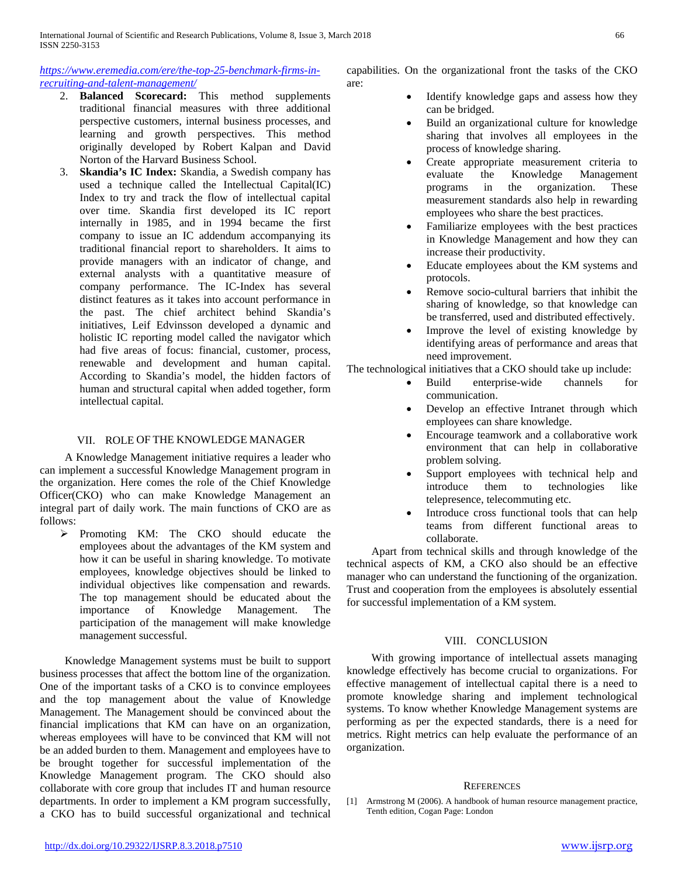*[https://www.eremedia.com/ere/the-top-25-benchmark-firms-in](https://www.eremedia.com/ere/the-top-25-benchmark-firms-in-recruiting-and-talent-management/)[recruiting-and-talent-management/](https://www.eremedia.com/ere/the-top-25-benchmark-firms-in-recruiting-and-talent-management/)*

- 2. **Balanced Scorecard:** This method supplements traditional financial measures with three additional perspective customers, internal business processes, and learning and growth perspectives. This method originally developed by Robert Kalpan and David Norton of the Harvard Business School.
- 3. **Skandia's IC Index:** Skandia, a Swedish company has used a technique called the Intellectual Capital(IC) Index to try and track the flow of intellectual capital over time. Skandia first developed its IC report internally in 1985, and in 1994 became the first company to issue an IC addendum accompanying its traditional financial report to shareholders. It aims to provide managers with an indicator of change, and external analysts with a quantitative measure of company performance. The IC-Index has several distinct features as it takes into account performance in the past. The chief architect behind Skandia's initiatives, Leif Edvinsson developed a dynamic and holistic IC reporting model called the navigator which had five areas of focus: financial, customer, process, renewable and development and human capital. According to Skandia's model, the hidden factors of human and structural capital when added together, form intellectual capital.

### VII. ROLE OF THE KNOWLEDGE MANAGER

 A Knowledge Management initiative requires a leader who can implement a successful Knowledge Management program in the organization. Here comes the role of the Chief Knowledge Officer(CKO) who can make Knowledge Management an integral part of daily work. The main functions of CKO are as follows:

 Promoting KM: The CKO should educate the employees about the advantages of the KM system and how it can be useful in sharing knowledge. To motivate employees, knowledge objectives should be linked to individual objectives like compensation and rewards. The top management should be educated about the importance of Knowledge Management. The importance of Knowledge Management. The participation of the management will make knowledge management successful.

 Knowledge Management systems must be built to support business processes that affect the bottom line of the organization. One of the important tasks of a CKO is to convince employees and the top management about the value of Knowledge Management. The Management should be convinced about the financial implications that KM can have on an organization, whereas employees will have to be convinced that KM will not be an added burden to them. Management and employees have to be brought together for successful implementation of the Knowledge Management program. The CKO should also collaborate with core group that includes IT and human resource departments. In order to implement a KM program successfully, a CKO has to build successful organizational and technical

- Identify knowledge gaps and assess how they can be bridged.
- Build an organizational culture for knowledge sharing that involves all employees in the process of knowledge sharing.
- Create appropriate measurement criteria to evaluate the Knowledge Management programs in the organization. These measurement standards also help in rewarding employees who share the best practices.
- Familiarize employees with the best practices in Knowledge Management and how they can increase their productivity.
- Educate employees about the KM systems and protocols.
- Remove socio-cultural barriers that inhibit the sharing of knowledge, so that knowledge can be transferred, used and distributed effectively.
- Improve the level of existing knowledge by identifying areas of performance and areas that need improvement.

The technological initiatives that a CKO should take up include:

- Build enterprise-wide channels for communication.
- Develop an effective Intranet through which employees can share knowledge.
- Encourage teamwork and a collaborative work environment that can help in collaborative problem solving.
- Support employees with technical help and introduce them to technologies like them to technologies like telepresence, telecommuting etc.
- Introduce cross functional tools that can help teams from different functional areas to collaborate.

 Apart from technical skills and through knowledge of the technical aspects of KM, a CKO also should be an effective manager who can understand the functioning of the organization. Trust and cooperation from the employees is absolutely essential for successful implementation of a KM system.

#### VIII. CONCLUSION

 With growing importance of intellectual assets managing knowledge effectively has become crucial to organizations. For effective management of intellectual capital there is a need to promote knowledge sharing and implement technological systems. To know whether Knowledge Management systems are performing as per the expected standards, there is a need for metrics. Right metrics can help evaluate the performance of an organization.

#### **REFERENCES**

[1] Armstrong M (2006). A handbook of human resource management practice, Tenth edition, Cogan Page: London